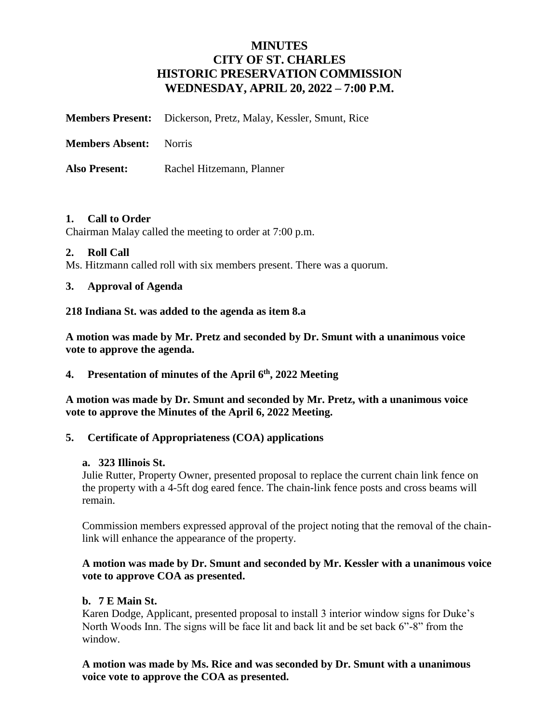# **MINUTES CITY OF ST. CHARLES HISTORIC PRESERVATION COMMISSION WEDNESDAY, APRIL 20, 2022 – 7:00 P.M.**

**Members Present:** Dickerson, Pretz, Malay, Kessler, Smunt, Rice

**Members Absent:** Norris

Also Present: Rachel Hitzemann, Planner

#### **1. Call to Order**

Chairman Malay called the meeting to order at 7:00 p.m.

#### **2. Roll Call**

Ms. Hitzmann called roll with six members present. There was a quorum.

#### **3. Approval of Agenda**

**218 Indiana St. was added to the agenda as item 8.a** 

**A motion was made by Mr. Pretz and seconded by Dr. Smunt with a unanimous voice vote to approve the agenda.**

**4. Presentation of minutes of the April 6 th, 2022 Meeting** 

**A motion was made by Dr. Smunt and seconded by Mr. Pretz, with a unanimous voice vote to approve the Minutes of the April 6, 2022 Meeting.**

### **5. Certificate of Appropriateness (COA) applications**

#### **a. 323 Illinois St.**

Julie Rutter, Property Owner, presented proposal to replace the current chain link fence on the property with a 4-5ft dog eared fence. The chain-link fence posts and cross beams will remain.

Commission members expressed approval of the project noting that the removal of the chainlink will enhance the appearance of the property.

#### **A motion was made by Dr. Smunt and seconded by Mr. Kessler with a unanimous voice vote to approve COA as presented.**

#### **b. 7 E Main St.**

Karen Dodge, Applicant, presented proposal to install 3 interior window signs for Duke's North Woods Inn. The signs will be face lit and back lit and be set back 6"-8" from the window.

**A motion was made by Ms. Rice and was seconded by Dr. Smunt with a unanimous voice vote to approve the COA as presented.**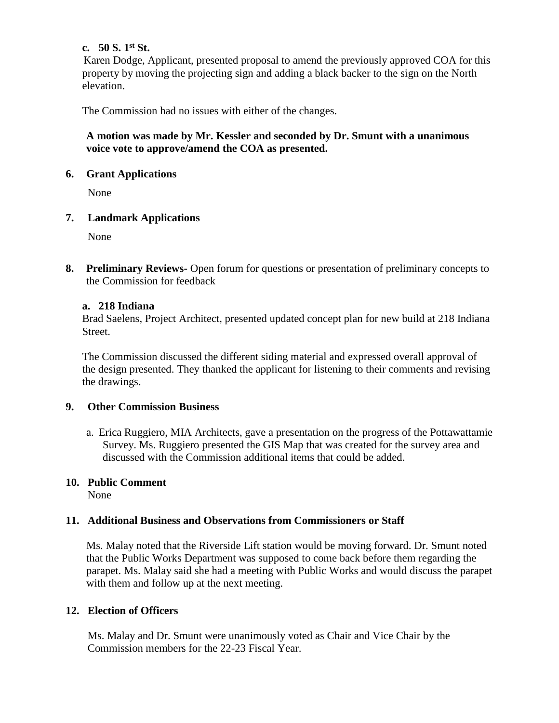### **c. 50 S. 1st St.**

Karen Dodge, Applicant, presented proposal to amend the previously approved COA for this property by moving the projecting sign and adding a black backer to the sign on the North elevation.

The Commission had no issues with either of the changes.

### **A motion was made by Mr. Kessler and seconded by Dr. Smunt with a unanimous voice vote to approve/amend the COA as presented.**

### **6. Grant Applications**

None

### **7. Landmark Applications**

None

**8. Preliminary Reviews-** Open forum for questions or presentation of preliminary concepts to the Commission for feedback

### **a. 218 Indiana**

 Brad Saelens, Project Architect, presented updated concept plan for new build at 218 Indiana Street.

The Commission discussed the different siding material and expressed overall approval of the design presented. They thanked the applicant for listening to their comments and revising the drawings.

### **9. Other Commission Business**

a. Erica Ruggiero, MIA Architects, gave a presentation on the progress of the Pottawattamie Survey. Ms. Ruggiero presented the GIS Map that was created for the survey area and discussed with the Commission additional items that could be added.

## **10. Public Comment**

None

## **11. Additional Business and Observations from Commissioners or Staff**

Ms. Malay noted that the Riverside Lift station would be moving forward. Dr. Smunt noted that the Public Works Department was supposed to come back before them regarding the parapet. Ms. Malay said she had a meeting with Public Works and would discuss the parapet with them and follow up at the next meeting.

### **12. Election of Officers**

Ms. Malay and Dr. Smunt were unanimously voted as Chair and Vice Chair by the Commission members for the 22-23 Fiscal Year.